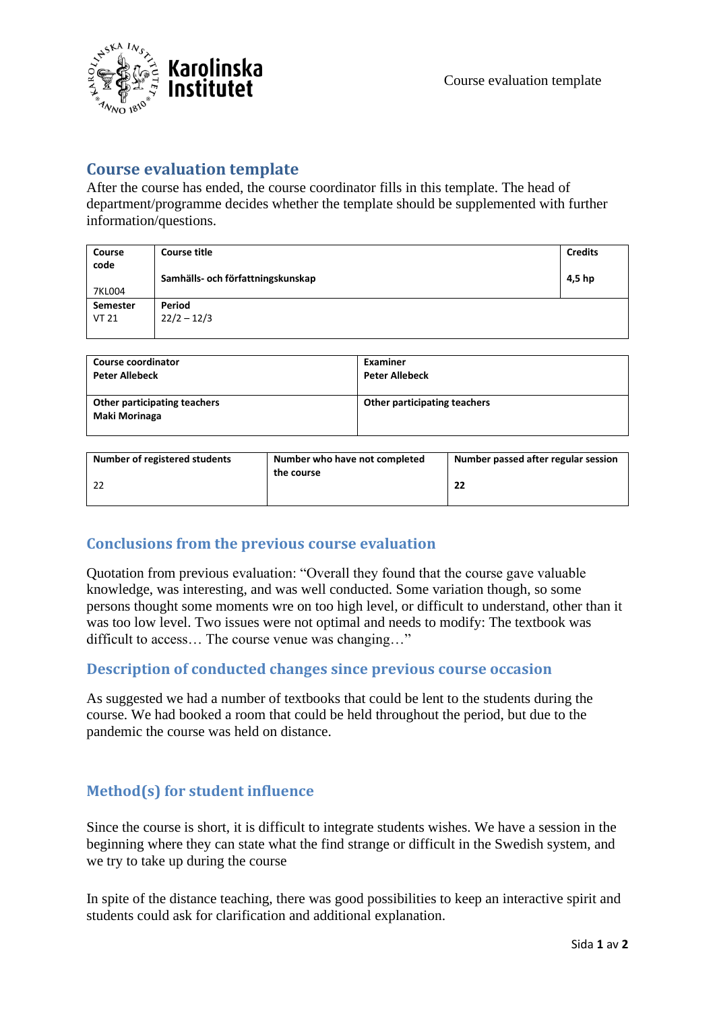

## **Course evaluation template**

After the course has ended, the course coordinator fills in this template. The head of department/programme decides whether the template should be supplemented with further information/questions.

| Course<br>code | <b>Course title</b><br>Samhälls- och författningskunskap | <b>Credits</b><br>4,5 hp |
|----------------|----------------------------------------------------------|--------------------------|
| 7KL004         |                                                          |                          |
| Semester       | Period                                                   |                          |
| <b>VT 21</b>   | $22/2 - 12/3$                                            |                          |
|                |                                                          |                          |

| <b>Course coordinator</b>                     | Examiner                     |
|-----------------------------------------------|------------------------------|
| <b>Peter Allebeck</b>                         | <b>Peter Allebeck</b>        |
| Other participating teachers<br>Maki Morinaga | Other participating teachers |

| Number of registered students | Number who have not completed | Number passed after regular session |
|-------------------------------|-------------------------------|-------------------------------------|
|                               | the course                    | 22                                  |

## **Conclusions from the previous course evaluation**

Quotation from previous evaluation: "Overall they found that the course gave valuable knowledge, was interesting, and was well conducted. Some variation though, so some persons thought some moments wre on too high level, or difficult to understand, other than it was too low level. Two issues were not optimal and needs to modify: The textbook was difficult to access… The course venue was changing…"

#### **Description of conducted changes since previous course occasion**

As suggested we had a number of textbooks that could be lent to the students during the course. We had booked a room that could be held throughout the period, but due to the pandemic the course was held on distance.

## **Method(s) for student influence**

Since the course is short, it is difficult to integrate students wishes. We have a session in the beginning where they can state what the find strange or difficult in the Swedish system, and we try to take up during the course

In spite of the distance teaching, there was good possibilities to keep an interactive spirit and students could ask for clarification and additional explanation.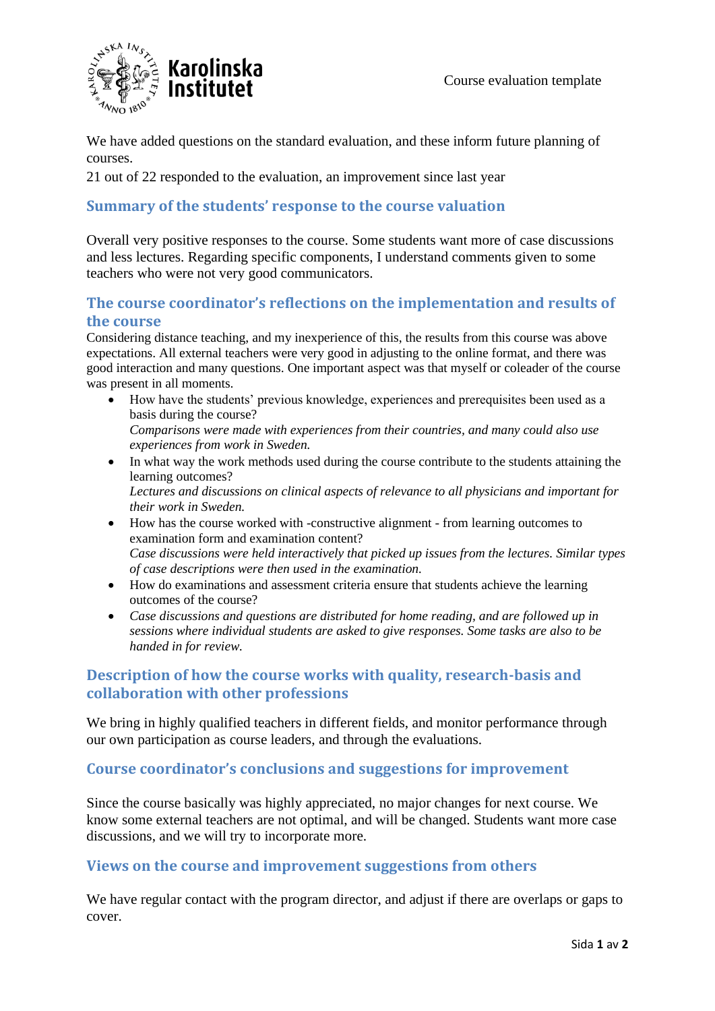

We have added questions on the standard evaluation, and these inform future planning of courses.

21 out of 22 responded to the evaluation, an improvement since last year

#### **Summary of the students' response to the course valuation**

Overall very positive responses to the course. Some students want more of case discussions and less lectures. Regarding specific components, I understand comments given to some teachers who were not very good communicators.

#### **The course coordinator's reflections on the implementation and results of the course**

Considering distance teaching, and my inexperience of this, the results from this course was above expectations. All external teachers were very good in adjusting to the online format, and there was good interaction and many questions. One important aspect was that myself or coleader of the course was present in all moments.

- How have the students' previous knowledge, experiences and prerequisites been used as a basis during the course? *Comparisons were made with experiences from their countries, and many could also use experiences from work in Sweden.*
- In what way the work methods used during the course contribute to the students attaining the learning outcomes? *Lectures and discussions on clinical aspects of relevance to all physicians and important for their work in Sweden.*
- How has the course worked with -constructive alignment from learning outcomes to examination form and examination content? *Case discussions were held interactively that picked up issues from the lectures. Similar types of case descriptions were then used in the examination.*
- How do examinations and assessment criteria ensure that students achieve the learning outcomes of the course?
- *Case discussions and questions are distributed for home reading, and are followed up in sessions where individual students are asked to give responses. Some tasks are also to be handed in for review.*

## **Description of how the course works with quality, research-basis and collaboration with other professions**

We bring in highly qualified teachers in different fields, and monitor performance through our own participation as course leaders, and through the evaluations.

## **Course coordinator's conclusions and suggestions for improvement**

Since the course basically was highly appreciated, no major changes for next course. We know some external teachers are not optimal, and will be changed. Students want more case discussions, and we will try to incorporate more.

#### **Views on the course and improvement suggestions from others**

We have regular contact with the program director, and adjust if there are overlaps or gaps to cover.